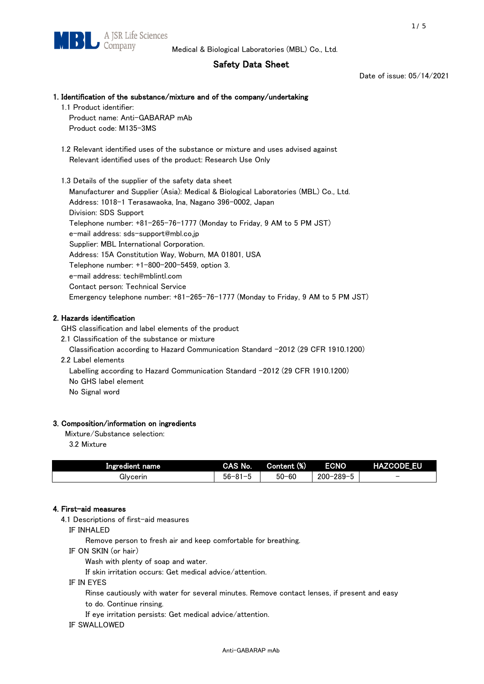# Safety Data Sheet

Date of issue: 05/14/2021

# 1. Identification of the substance/mixture and of the company/undertaking

- 1.1 Product identifier: Product name: Anti-GABARAP mAb Product code: M135-3MS
- 1.2 Relevant identified uses of the substance or mixture and uses advised against Relevant identified uses of the product: Research Use Only

 1.3 Details of the supplier of the safety data sheet Manufacturer and Supplier (Asia): Medical & Biological Laboratories (MBL) Co., Ltd. Address: 1018-1 Terasawaoka, Ina, Nagano 396-0002, Japan Division: SDS Support Telephone number: +81-265-76-1777 (Monday to Friday, 9 AM to 5 PM JST) e-mail address: sds-support@mbl.co.jp Supplier: MBL International Corporation. Address: 15A Constitution Way, Woburn, MA 01801, USA Telephone number: +1-800-200-5459, option 3. e-mail address: tech@mblintl.com Contact person: Technical Service Emergency telephone number: +81-265-76-1777 (Monday to Friday, 9 AM to 5 PM JST)

# 2. Hazards identification

GHS classification and label elements of the product

2.1 Classification of the substance or mixture

Classification according to Hazard Communication Standard -2012 (29 CFR 1910.1200)

2.2 Label elements

Labelling according to Hazard Communication Standard -2012 (29 CFR 1910.1200) No GHS label element

No Signal word

# 3. Composition/information on ingredients

Mixture/Substance selection:

3.2 Mixture

| Ingredient name | CAS No.             | Content (%) | <b>ECNO</b>                                              | <b>HAZCODE_EU</b>        |
|-----------------|---------------------|-------------|----------------------------------------------------------|--------------------------|
| Glvcerin        | $56 - 81 -$<br>ິບ ເ | $50 - 60$   | $-289 - 1$<br>$200 - 2$<br>$\overline{\phantom{0}}$<br>v | $\overline{\phantom{0}}$ |

# 4. First-aid measures

4.1 Descriptions of first-aid measures

IF INHALED

Remove person to fresh air and keep comfortable for breathing.

IF ON SKIN (or hair)

Wash with plenty of soap and water.

If skin irritation occurs: Get medical advice/attention.

IF IN EYES

Rinse cautiously with water for several minutes. Remove contact lenses, if present and easy

to do. Continue rinsing.

If eye irritation persists: Get medical advice/attention.

IF SWALLOWED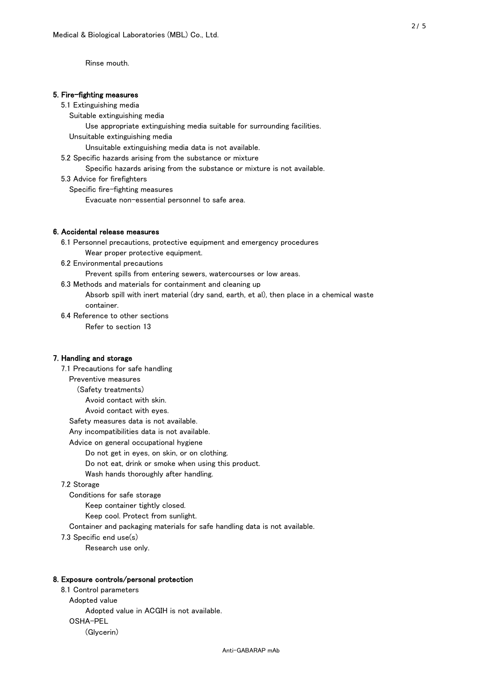Rinse mouth.

## 5. Fire-fighting measures

#### 5.1 Extinguishing media

Suitable extinguishing media

- Use appropriate extinguishing media suitable for surrounding facilities.
- Unsuitable extinguishing media

Unsuitable extinguishing media data is not available.

5.2 Specific hazards arising from the substance or mixture

Specific hazards arising from the substance or mixture is not available.

5.3 Advice for firefighters

Specific fire-fighting measures

Evacuate non-essential personnel to safe area.

### 6. Accidental release measures

 6.1 Personnel precautions, protective equipment and emergency procedures Wear proper protective equipment.

6.2 Environmental precautions

Prevent spills from entering sewers, watercourses or low areas.

6.3 Methods and materials for containment and cleaning up

 Absorb spill with inert material (dry sand, earth, et al), then place in a chemical waste container.

6.4 Reference to other sections

Refer to section 13

# 7. Handling and storage

 7.1 Precautions for safe handling Preventive measures (Safety treatments) Avoid contact with skin. Avoid contact with eyes. Safety measures data is not available. Any incompatibilities data is not available. Advice on general occupational hygiene Do not get in eyes, on skin, or on clothing. Do not eat, drink or smoke when using this product. Wash hands thoroughly after handling. 7.2 Storage Conditions for safe storage Keep container tightly closed.

Keep cool. Protect from sunlight.

Container and packaging materials for safe handling data is not available.

7.3 Specific end use(s)

Research use only.

#### 8. Exposure controls/personal protection

 8.1 Control parameters Adopted value Adopted value in ACGIH is not available. OSHA-PEL (Glycerin)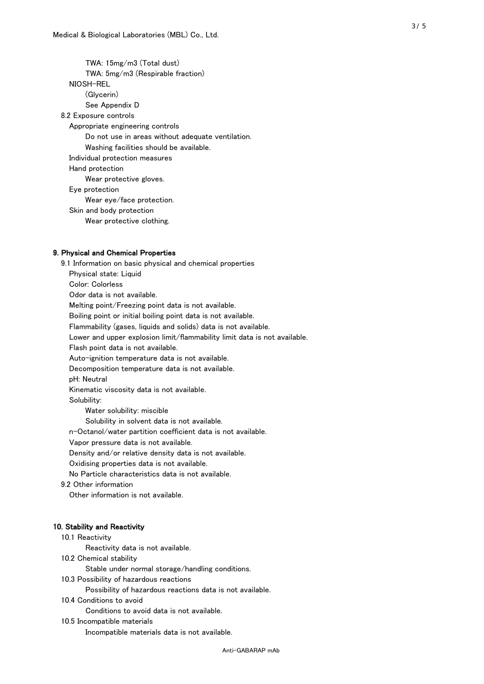TWA: 15mg/m3 (Total dust) TWA: 5mg/m3 (Respirable fraction) NIOSH-REL (Glycerin) See Appendix D 8.2 Exposure controls Appropriate engineering controls Do not use in areas without adequate ventilation. Washing facilities should be available. Individual protection measures Hand protection Wear protective gloves. Eye protection Wear eye/face protection. Skin and body protection Wear protective clothing.

## 9. Physical and Chemical Properties

 9.1 Information on basic physical and chemical properties Physical state: Liquid Color: Colorless Odor data is not available. Melting point/Freezing point data is not available. Boiling point or initial boiling point data is not available. Flammability (gases, liquids and solids) data is not available. Lower and upper explosion limit/flammability limit data is not available. Flash point data is not available. Auto-ignition temperature data is not available. Decomposition temperature data is not available. pH: Neutral Kinematic viscosity data is not available. Solubility: Water solubility: miscible Solubility in solvent data is not available. n-Octanol/water partition coefficient data is not available. Vapor pressure data is not available. Density and/or relative density data is not available. Oxidising properties data is not available. No Particle characteristics data is not available. 9.2 Other information Other information is not available. 10. Stability and Reactivity 10.1 Reactivity Reactivity data is not available. 10.2 Chemical stability Stable under normal storage/handling conditions. 10.3 Possibility of hazardous reactions

Possibility of hazardous reactions data is not available.

10.4 Conditions to avoid

Conditions to avoid data is not available.

10.5 Incompatible materials

Incompatible materials data is not available.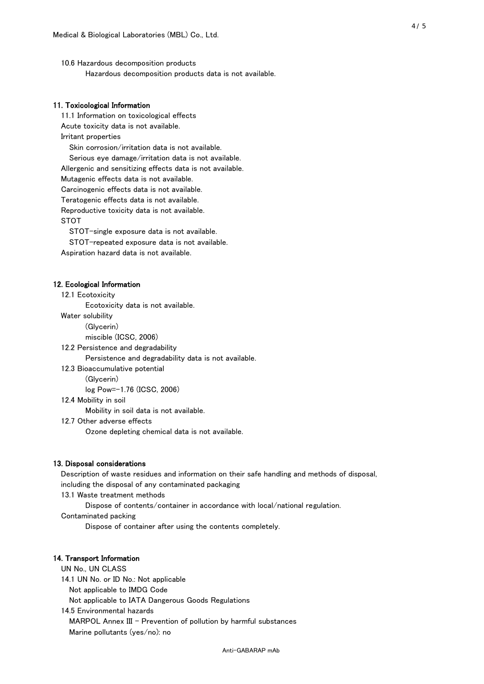10.6 Hazardous decomposition products Hazardous decomposition products data is not available.

# 11. Toxicological Information

 11.1 Information on toxicological effects Acute toxicity data is not available. Irritant properties Skin corrosion/irritation data is not available. Serious eye damage/irritation data is not available. Allergenic and sensitizing effects data is not available. Mutagenic effects data is not available. Carcinogenic effects data is not available. Teratogenic effects data is not available. Reproductive toxicity data is not available. STOT

STOT-single exposure data is not available.

STOT-repeated exposure data is not available.

Aspiration hazard data is not available.

#### 12. Ecological Information

12.1 Ecotoxicity

Ecotoxicity data is not available.

Water solubility

(Glycerin)

miscible (ICSC, 2006)

12.2 Persistence and degradability

Persistence and degradability data is not available.

12.3 Bioaccumulative potential

(Glycerin)

log Pow=-1.76 (ICSC, 2006)

12.4 Mobility in soil

Mobility in soil data is not available.

12.7 Other adverse effects

Ozone depleting chemical data is not available.

#### 13. Disposal considerations

 Description of waste residues and information on their safe handling and methods of disposal, including the disposal of any contaminated packaging

13.1 Waste treatment methods

Dispose of contents/container in accordance with local/national regulation.

Contaminated packing

Dispose of container after using the contents completely.

### 14. Transport Information

 UN No., UN CLASS 14.1 UN No. or ID No.: Not applicable Not applicable to IMDG Code Not applicable to IATA Dangerous Goods Regulations

 14.5 Environmental hazards MARPOL Annex III - Prevention of pollution by harmful substances Marine pollutants (yes/no): no